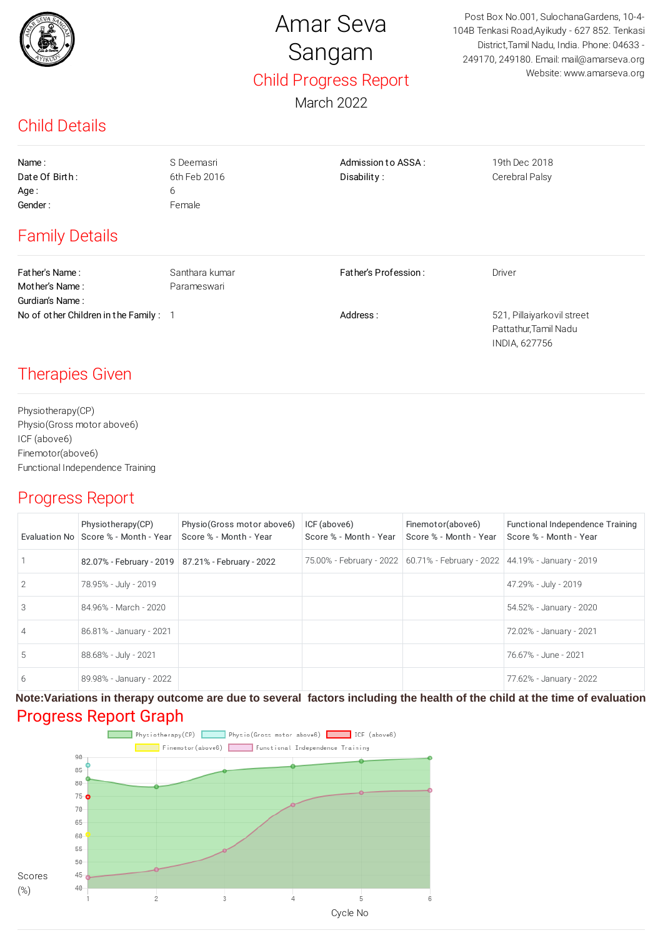

# Amar Seva Sangam Child Progress Report

March 2022

Post Box No.001, SulochanaGardens, 10-4- 104B Tenkasi Road,Ayikudy - 627 852. Tenkasi District,Tamil Nadu, India. Phone: 04633 - 249170, 249180. Email: mail@amarseva.org Website: www.amarseva.org

## Child Details

| Name:                                 | S Deemasri     | Admission to ASSA:   | 19th Dec 2018              |
|---------------------------------------|----------------|----------------------|----------------------------|
| Date Of Birth:                        | 6th Feb 2016   | Disability:          | Cerebral Palsy             |
| Age:                                  | 6              |                      |                            |
| Gender:                               | Female         |                      |                            |
| <b>Family Details</b>                 |                |                      |                            |
| Father's Name:                        | Santhara kumar | Father's Profession: | Driver                     |
| Mother's Name:                        | Parameswari    |                      |                            |
| Gurdian's Name:                       |                |                      |                            |
| No of other Children in the Family: 1 |                | Address:             | 521, Pillaiyarkovil street |
|                                       |                |                      | Pattathur, Tamil Nadu      |
|                                       |                |                      | <b>INDIA, 627756</b>       |

### Therapies Given

Physiotherapy(CP) Physio(Gross motor above6) ICF (above6) Finemotor(above6) Functional Independence Training

#### Progress Report

|                | Physiotherapy(CP)<br>Evaluation No Score % - Month - Year | Physio (Gross motor above6)<br>Score % - Month - Year | ICF (above6)<br>Score % - Month - Year | Finemotor(above6)<br>Score % - Month - Year                                   | Functional Independence Training<br>Score % - Month - Year |
|----------------|-----------------------------------------------------------|-------------------------------------------------------|----------------------------------------|-------------------------------------------------------------------------------|------------------------------------------------------------|
|                | 82.07% - February - 2019   87.21% - February - 2022       |                                                       |                                        | 75.00% - February - 2022   60.71% - February - 2022   44.19% - January - 2019 |                                                            |
| 2              | 78.95% - July - 2019                                      |                                                       |                                        |                                                                               | 47.29% - July - 2019                                       |
| 3              | 84.96% - March - 2020                                     |                                                       |                                        |                                                                               | 54.52% - January - 2020                                    |
| $\overline{4}$ | 86.81% - January - 2021                                   |                                                       |                                        |                                                                               | 72.02% - January - 2021                                    |
| 5              | 88.68% - July - 2021                                      |                                                       |                                        |                                                                               | 76.67% - June - 2021                                       |
| 6              | 89.98% - January - 2022                                   |                                                       |                                        |                                                                               | 77.62% - January - 2022                                    |

#### Progress Report Graph **Note:Variations in therapy outcome are due to several factors including the health of the child at the time of evaluation**